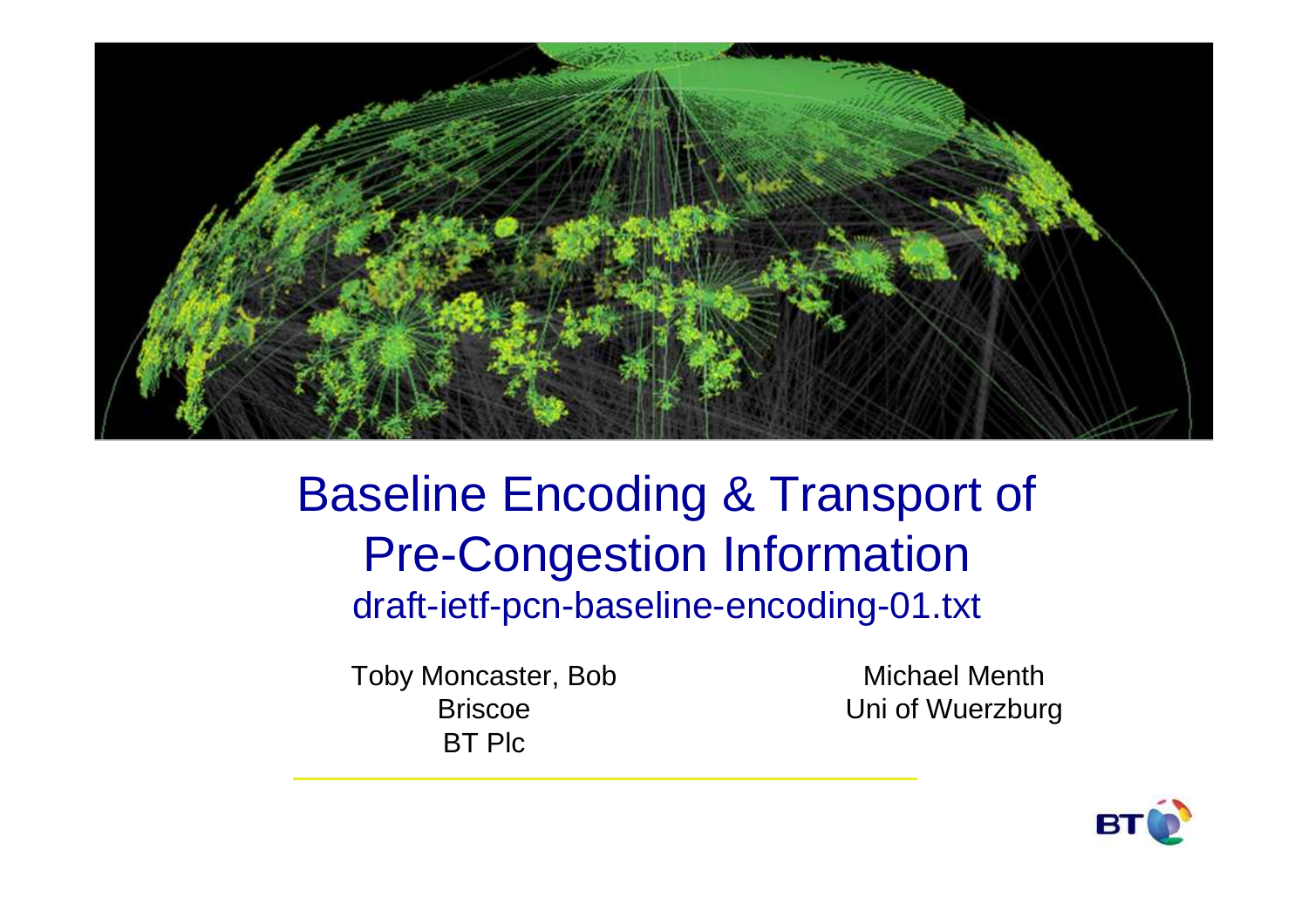

## Baseline Encoding & Transport of Pre-Congestion Informationdraft-ietf-pcn-baseline-encoding-01.txt

Toby Moncaster, Bob BriscoeBT Plc

Michael MenthUni of Wuerzburg

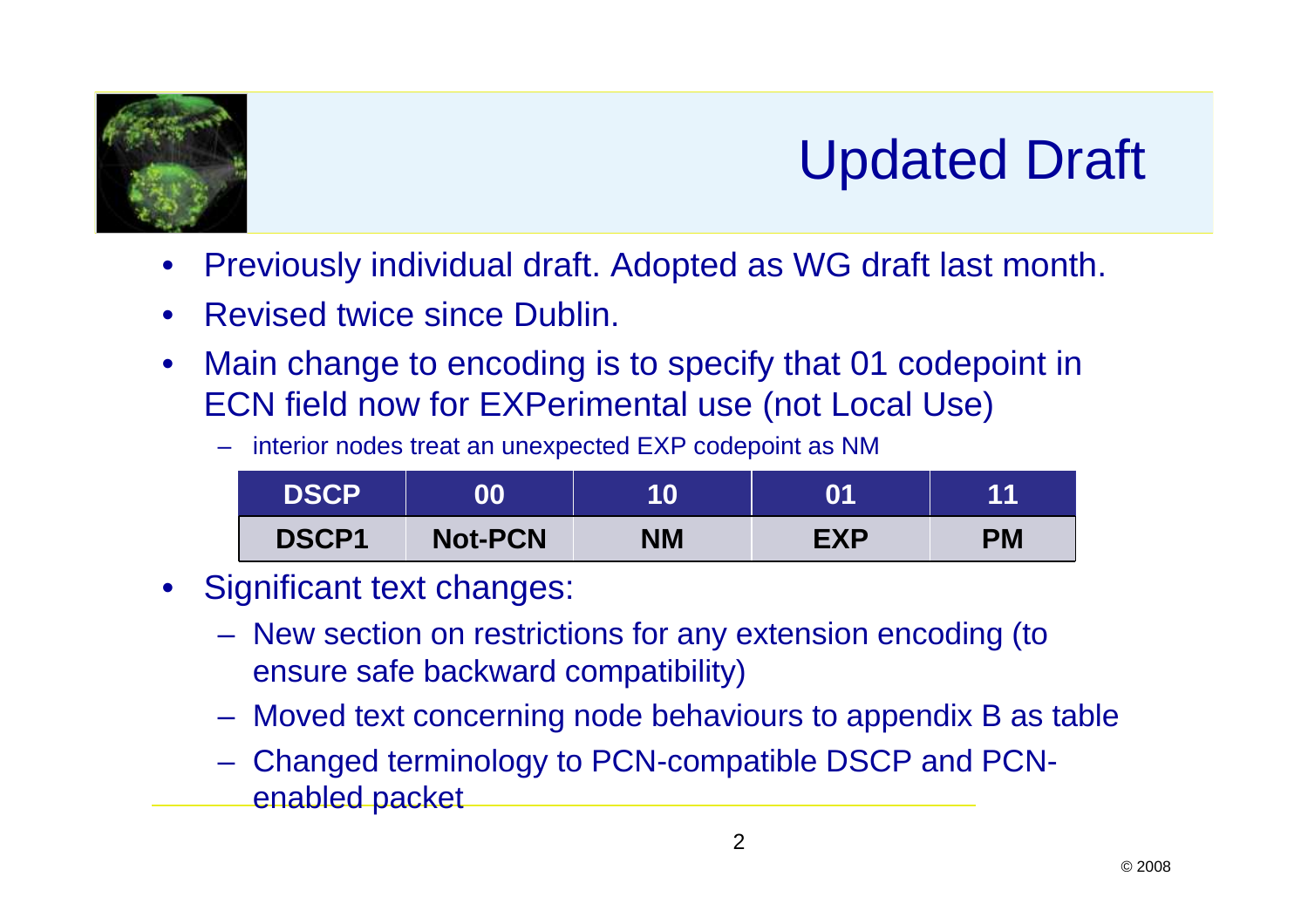

## Updated Draft

- •Previously individual draft. Adopted as WG draft last month.
- •Revised twice since Dublin.
- $\bullet$  Main change to encoding is to specify that 01 codepoint in ECN field now for EXPerimental use (not Local Use)

–interior nodes treat an unexpected EXP codepoint as NM

| <b>DSCP</b>  | 00             | 10        | 01         | 44 |
|--------------|----------------|-----------|------------|----|
| <b>DSCP1</b> | <b>Not-PCN</b> | <b>NM</b> | <b>EXP</b> | PM |

- Significant text changes:
	- **Holland** and the state of the New section on restrictions for any extension encoding (to ensure safe backward compatibility)
	- **Hart Committee** Moved text concerning node behaviours to appendix B as table
	- **Hart Committee**  Changed terminology to PCN-compatible DSCP and PCNenabled packet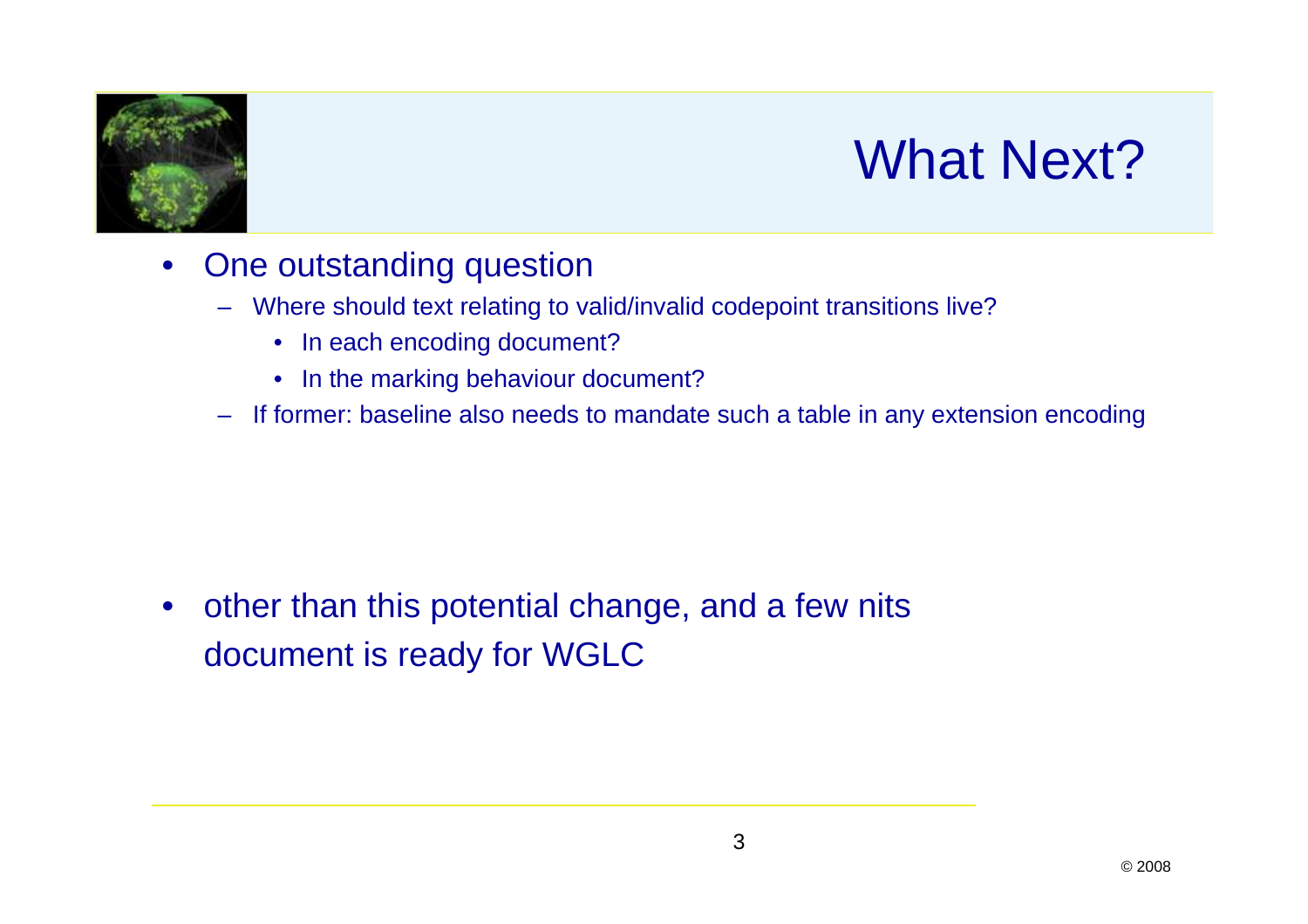

## What Next?

- $\bullet$  One outstanding question
	- Where should text relating to valid/invalid codepoint transitions live?
		- In each encoding document?
		- In the marking behaviour document?
	- If former: baseline also needs to mandate such a table in any extension encoding

 $\bullet$  other than this potential change, and a few nitsdocument is ready for WGLC